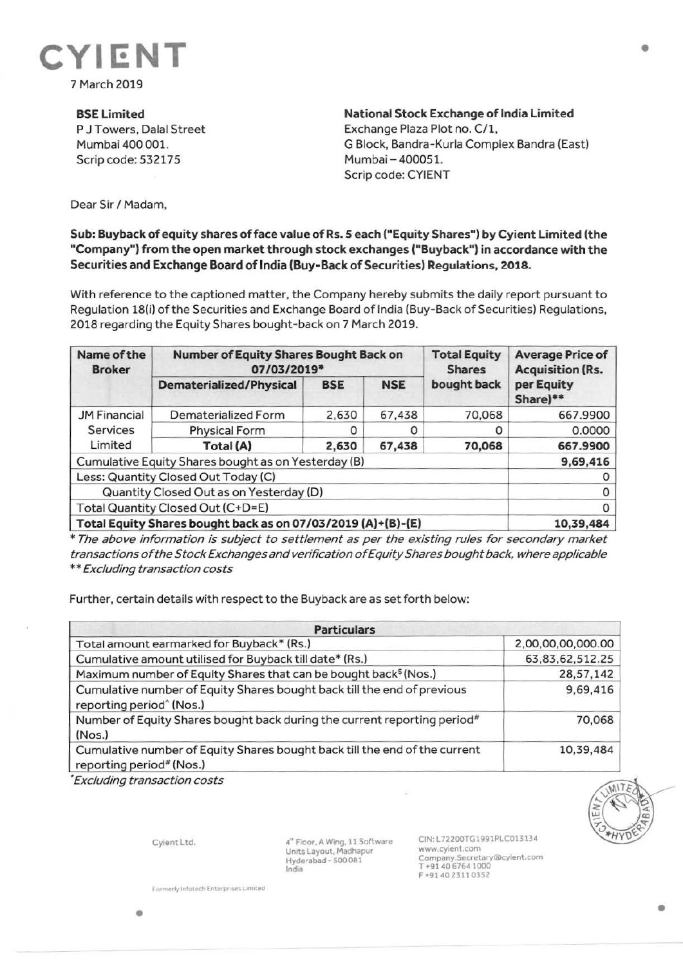

## **BSELimited**

P J Towers, Dalal Street Mumbai 400 001. Scrip code: 532175

**National Stock Exchange of India Limited**  Exchange Plaza Plot no. C/1, G Block, Bandra-Kurla Complex Sandra (East) Mumbai-400051. Scrip code: CYIENT

Dear Sir *I* Madam,

## **Sub: Buyback of equity shares of face value of Rs. 5 each ("Equity Shares") by Cyient Limited (the "Company") from the open market through stock exchanges ("Buyback") in accordance with the Securities and Exchange Board of India (Buy-Back of Securities) Regulations, 2018.**

With reference to the captioned matter, the Company hereby submits the daily report pursuant to Regulation 18(i) of the Securities and Exchange Board of India (Buy-Back of Securities) Regulations, 2018 regarding the Equity Shares bought-back on 7 March 2019.

| Name of the<br><b>Broker</b>                                 | <b>Number of Equity Shares Bought Back on</b><br>07/03/2019* |            |            | <b>Total Equity</b><br><b>Shares</b> | <b>Average Price of</b><br><b>Acquisition (Rs.</b> |
|--------------------------------------------------------------|--------------------------------------------------------------|------------|------------|--------------------------------------|----------------------------------------------------|
|                                                              | <b>Dematerialized/Physical</b>                               | <b>BSE</b> | <b>NSE</b> | bought back                          | per Equity<br>Share)**                             |
| <b>JM Financial</b><br><b>Services</b><br>Limited            | Dematerialized Form                                          | 2,630      | 67,438     | 70,068                               | 667.9900                                           |
|                                                              | <b>Physical Form</b>                                         |            |            | O                                    | 0.0000                                             |
|                                                              | Total (A)                                                    | 2,630      | 67,438     | 70,068                               | 667.9900                                           |
| Cumulative Equity Shares bought as on Yesterday (B)          |                                                              |            |            |                                      | 9,69,416                                           |
| Less: Quantity Closed Out Today (C)                          |                                                              |            |            |                                      |                                                    |
| Quantity Closed Out as on Yesterday (D)                      |                                                              |            |            |                                      |                                                    |
| Total Quantity Closed Out (C+D=E)                            |                                                              |            |            |                                      |                                                    |
| Total Equity Shares bought back as on 07/03/2019 (A)+(B)-(E) |                                                              |            |            |                                      | 10,39,484                                          |

\* The above information is subject to settlement as per the existing rules for secondary market transactions of the Stock Exchanges and verification of Equity Shares bought back, where applicable \*\* Excluding transaction costs

Further, certain details with respect to the Buyback are as set forth below:

| <b>Particulars</b>                                                                                                 |                   |  |  |  |
|--------------------------------------------------------------------------------------------------------------------|-------------------|--|--|--|
| Total amount earmarked for Buyback* (Rs.)                                                                          | 2,00,00,00,000.00 |  |  |  |
| Cumulative amount utilised for Buyback till date* (Rs.)                                                            | 63,83,62,512.25   |  |  |  |
| Maximum number of Equity Shares that can be bought back <sup>\$</sup> (Nos.)                                       | 28,57,142         |  |  |  |
| Cumulative number of Equity Shares bought back till the end of previous<br>reporting period <sup>^</sup> (Nos.)    | 9,69,416          |  |  |  |
| Number of Equity Shares bought back during the current reporting period <sup>#</sup><br>(Nos.)                     | 70,068            |  |  |  |
| Cumulative number of Equity Shares bought back till the end of the current<br>reporting period <sup>#</sup> (Nos.) | 10,39,484         |  |  |  |

• Excluding transaction costs

Cyient Ltd.

**4•** Floor. A Wing, 11 Software Units Layout. Madhapur Hyderabad - 500 081 India

CIN· L72200TG1991PLC013134 www.cyient.com Company.Secretarylalcylent.com T •91406764 1000 F •9140 2311 0352

•

**Formerly infotech Enterprises Limited**